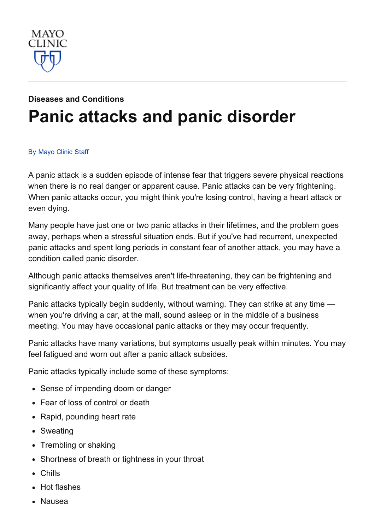

# Diseases and [Conditions](http://www.mayoclinic.org/diseases-conditions) Panic attacks and panic [disorder](http://www.mayoclinic.org/diseases-conditions/panic-attacks/basics/definition/con-20020825)

#### By [Mayo](http://www.mayoclinic.org/about-this-site/welcome) Clinic Staff

A panic attack is a sudden episode of intense fear that triggers severe physical reactions when there is no real danger or apparent cause. Panic attacks can be very frightening. When panic attacks occur, you might think you're losing control, having a heart attack or even dying.

Many people have just one or two panic attacks in their lifetimes, and the problem goes away, perhaps when a stressful situation ends. But if you've had recurrent, unexpected panic attacks and spent long periods in constant fear of another attack, you may have a condition called panic disorder.

Although panic attacks themselves aren't life-threatening, they can be frightening and significantly affect your quality of life. But treatment can be very effective.

Panic attacks typically begin suddenly, without warning. They can strike at any time when you're driving a car, at the mall, sound asleep or in the middle of a business meeting. You may have occasional panic attacks or they may occur frequently.

Panic attacks have many variations, but symptoms usually peak within minutes. You may feel fatigued and worn out after a panic attack subsides.

Panic attacks typically include some of these symptoms:

- Sense of impending doom or danger
- Fear of loss of control or death
- Rapid, pounding heart rate
- Sweating
- Trembling or shaking
- Shortness of breath or tightness in your throat
- Chills
- Hot flashes
- Nausea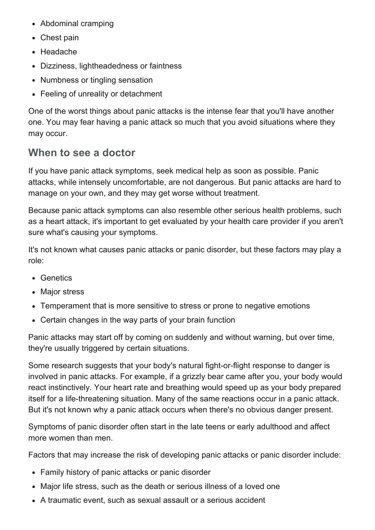- Abdominal cramping
- Chest pain
- Headache
- Dizziness, lightheadedness or faintness
- Numbness or tingling sensation
- Feeling of unreality or detachment

One of the worst things about panic attacks is the intense fear that you'll have another one. You may fear having a panic attack so much that you avoid situations where they may occur.

### When to see a doctor

If you have panic attack symptoms, seek medical help as soon as possible. Panic attacks, while intensely uncomfortable, are not dangerous. But panic attacks are hard to manage on your own, and they may get worse without treatment.

Because panic attack symptoms can also resemble other serious health problems, such as a heart attack, it's important to get evaluated by your health care provider if you aren't sure what's causing your symptoms.

It's not known what causes panic attacks or panic disorder, but these factors may play a role:

- Genetics
- Major stress
- Temperament that is more sensitive to stress or prone to negative emotions
- Certain changes in the way parts of your brain function

Panic attacks may start off by coming on suddenly and without warning, but over time, they're usually triggered by certain situations.

Some research suggests that your body's natural fight-or-flight response to danger is involved in panic attacks. For example, if a grizzly bear came after you, your body would react instinctively. Your heart rate and breathing would speed up as your body prepared itself for a life-threatening situation. Many of the same reactions occur in a panic attack. But it's not known why a panic attack occurs when there's no obvious danger present.

Symptoms of panic disorder often start in the late teens or early adulthood and affect more women than men.

Factors that may increase the risk of developing panic attacks or panic disorder include:

- Family history of panic attacks or panic disorder
- Major life stress, such as the death or serious illness of a loved one
- A traumatic event, such as sexual assault or a serious accident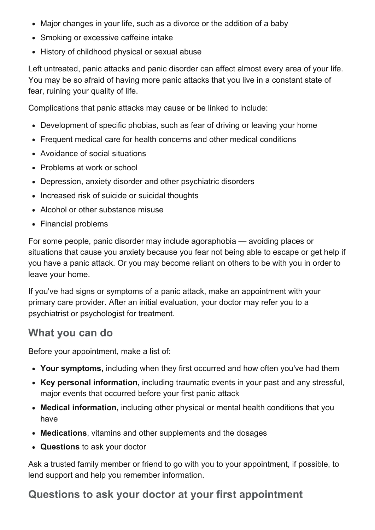- Major changes in your life, such as a divorce or the addition of a baby
- Smoking or excessive caffeine intake
- History of childhood physical or sexual abuse

Left untreated, panic attacks and panic disorder can affect almost every area of your life. You may be so afraid of having more panic attacks that you live in a constant state of fear, ruining your quality of life.

Complications that panic attacks may cause or be linked to include:

- Development of specific phobias, such as fear of driving or leaving your home
- Frequent medical care for health concerns and other medical conditions
- Avoidance of social situations
- Problems at work or school
- Depression, anxiety disorder and other psychiatric disorders
- Increased risk of suicide or suicidal thoughts
- Alcohol or other substance misuse
- Financial problems

For some people, panic disorder may include agoraphobia — avoiding places or situations that cause you anxiety because you fear not being able to escape or get help if you have a panic attack. Or you may become reliant on others to be with you in order to leave your home.

If you've had signs or symptoms of a panic attack, make an appointment with your primary care provider. After an initial evaluation, your doctor may refer you to a psychiatrist or psychologist for treatment.

### What you can do

Before your appointment, make a list of:

- Your symptoms, including when they first occurred and how often you've had them
- Key personal information, including traumatic events in your past and any stressful, major events that occurred before your first panic attack
- Medical information, including other physical or mental health conditions that you have
- Medications, vitamins and other supplements and the dosages
- Questions to ask your doctor

Ask a trusted family member or friend to go with you to your appointment, if possible, to lend support and help you remember information.

### Questions to ask your doctor at your first appointment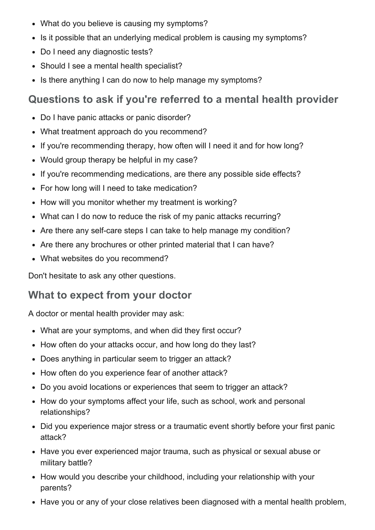- What do you believe is causing my symptoms?
- Is it possible that an underlying medical problem is causing my symptoms?
- Do I need any diagnostic tests?
- Should I see a mental health specialist?
- Is there anything I can do now to help manage my symptoms?

# Questions to ask if you're referred to a mental health provider

- Do I have panic attacks or panic disorder?
- What treatment approach do you recommend?
- If you're recommending therapy, how often will I need it and for how long?
- Would group therapy be helpful in my case?
- If you're recommending medications, are there any possible side effects?
- For how long will I need to take medication?
- How will you monitor whether my treatment is working?
- What can I do now to reduce the risk of my panic attacks recurring?
- Are there any self-care steps I can take to help manage my condition?
- Are there any brochures or other printed material that I can have?
- What websites do you recommend?

Don't hesitate to ask any other questions.

# What to expect from your doctor

A doctor or mental health provider may ask:

- What are your symptoms, and when did they first occur?
- How often do your attacks occur, and how long do they last?
- Does anything in particular seem to trigger an attack?
- How often do you experience fear of another attack?
- Do you avoid locations or experiences that seem to trigger an attack?
- How do your symptoms affect your life, such as school, work and personal relationships?
- Did you experience major stress or a traumatic event shortly before your first panic attack?
- Have you ever experienced major trauma, such as physical or sexual abuse or military battle?
- How would you describe your childhood, including your relationship with your parents?
- Have you or any of your close relatives been diagnosed with a mental health problem,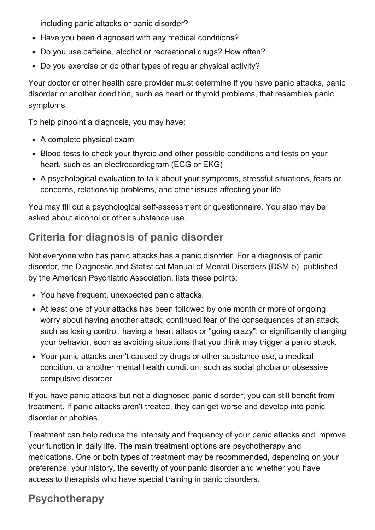including panic attacks or panic disorder?

- Have you been diagnosed with any medical conditions?
- Do you use caffeine, alcohol or recreational drugs? How often?
- Do you exercise or do other types of regular physical activity?

Your doctor or other health care provider must determine if you have panic attacks, panic disorder or another condition, such as heart or thyroid problems, that resembles panic symptoms.

To help pinpoint a diagnosis, you may have:

- A complete physical exam
- Blood tests to check your thyroid and other possible conditions and tests on your heart, such as an electrocardiogram (ECG or EKG)
- A psychological evaluation to talk about your symptoms, stressful situations, fears or concerns, relationship problems, and other issues affecting your life

You may fill out a psychological self-assessment or questionnaire. You also may be asked about alcohol or other substance use.

# Criteria for diagnosis of panic disorder

Not everyone who has panic attacks has a panic disorder. For a diagnosis of panic disorder, the Diagnostic and Statistical Manual of Mental Disorders (DSM-5), published by the American Psychiatric Association, lists these points:

- You have frequent, unexpected panic attacks.
- At least one of your attacks has been followed by one month or more of ongoing worry about having another attack; continued fear of the consequences of an attack, such as losing control, having a heart attack or "going crazy"; or significantly changing your behavior, such as avoiding situations that you think may trigger a panic attack.
- Your panic attacks aren't caused by drugs or other substance use, a medical condition, or another mental health condition, such as social phobia or obsessive compulsive disorder.

If you have panic attacks but not a diagnosed panic disorder, you can still benefit from treatment. If panic attacks aren't treated, they can get worse and develop into panic disorder or phobias.

Treatment can help reduce the intensity and frequency of your panic attacks and improve your function in daily life. The main treatment options are psychotherapy and medications. One or both types of treatment may be recommended, depending on your preference, your history, the severity of your panic disorder and whether you have access to therapists who have special training in panic disorders.

# Psychotherapy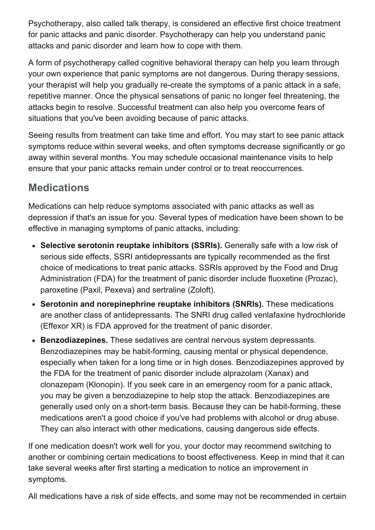Psychotherapy, also called talk therapy, is considered an effective first choice treatment for panic attacks and panic disorder. Psychotherapy can help you understand panic attacks and panic disorder and learn how to cope with them.

A form of psychotherapy called cognitive behavioral therapy can help you learn through your own experience that panic symptoms are not dangerous. During therapy sessions, your therapist will help you gradually re-create the symptoms of a panic attack in a safe, repetitive manner. Once the physical sensations of panic no longer feel threatening, the attacks begin to resolve. Successful treatment can also help you overcome fears of situations that you've been avoiding because of panic attacks.

Seeing results from treatment can take time and effort. You may start to see panic attack symptoms reduce within several weeks, and often symptoms decrease significantly or go away within several months. You may schedule occasional maintenance visits to help ensure that your panic attacks remain under control or to treat reoccurrences.

## **Medications**

Medications can help reduce symptoms associated with panic attacks as well as depression if that's an issue for you. Several types of medication have been shown to be effective in managing symptoms of panic attacks, including:

- Selective serotonin reuptake inhibitors (SSRIs). Generally safe with a low risk of serious side effects, SSRI antidepressants are typically recommended as the first choice of medications to treat panic attacks. SSRIs approved by the Food and Drug Administration (FDA) for the treatment of panic disorder include fluoxetine (Prozac), paroxetine (Paxil, Pexeva) and sertraline (Zoloft).
- Serotonin and norepinephrine reuptake inhibitors (SNRIs). These medications are another class of antidepressants. The SNRI drug called venlafaxine hydrochloride (Effexor XR) is FDA approved for the treatment of panic disorder.
- Benzodiazepines. These sedatives are central nervous system depressants. Benzodiazepines may be habit-forming, causing mental or physical dependence, especially when taken for a long time or in high doses. Benzodiazepines approved by the FDA for the treatment of panic disorder include alprazolam (Xanax) and clonazepam (Klonopin). If you seek care in an emergency room for a panic attack, you may be given a benzodiazepine to help stop the attack. Benzodiazepines are generally used only on a short-term basis. Because they can be habit-forming, these medications aren't a good choice if you've had problems with alcohol or drug abuse. They can also interact with other medications, causing dangerous side effects.

If one medication doesn't work well for you, your doctor may recommend switching to another or combining certain medications to boost effectiveness. Keep in mind that it can take several weeks after first starting a medication to notice an improvement in symptoms.

All medications have a risk of side effects, and some may not be recommended in certain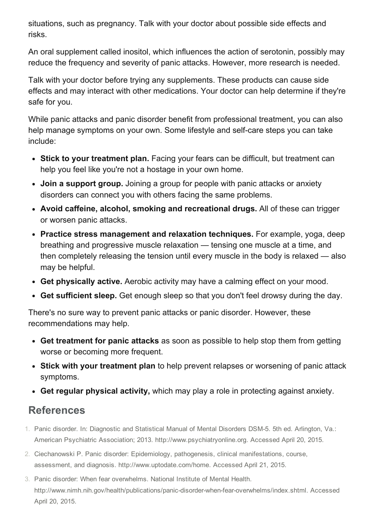situations, such as pregnancy. Talk with your doctor about possible side effects and risks.

An oral supplement called inositol, which influences the action of serotonin, possibly may reduce the frequency and severity of panic attacks. However, more research is needed.

Talk with your doctor before trying any supplements. These products can cause side effects and may interact with other medications. Your doctor can help determine if they're safe for you.

While panic attacks and panic disorder benefit from professional treatment, you can also help manage symptoms on your own. Some lifestyle and self-care steps you can take include:

- Stick to your treatment plan. Facing your fears can be difficult, but treatment can help you feel like you're not a hostage in your own home.
- Join a support group. Joining a group for people with panic attacks or anxiety disorders can connect you with others facing the same problems.
- Avoid caffeine, alcohol, smoking and recreational drugs. All of these can trigger or worsen panic attacks.
- Practice stress management and relaxation techniques. For example, yoga, deep breathing and progressive muscle relaxation — tensing one muscle at a time, and then completely releasing the tension until every muscle in the body is relaxed — also may be helpful.
- Get physically active. Aerobic activity may have a calming effect on your mood.
- Get sufficient sleep. Get enough sleep so that you don't feel drowsy during the day.

There's no sure way to prevent panic attacks or panic disorder. However, these recommendations may help.

- Get treatment for panic attacks as soon as possible to help stop them from getting worse or becoming more frequent.
- Stick with your treatment plan to help prevent relapses or worsening of panic attack symptoms.
- Get regular physical activity, which may play a role in protecting against anxiety.

### References

- 1. Panic disorder. In: Diagnostic and Statistical Manual of Mental Disorders DSM-5. 5th ed. Arlington, Va.: American Psychiatric Association; 2013. http://www.psychiatryonline.org. Accessed April 20, 2015.
- 2. Ciechanowski P. Panic disorder: Epidemiology, pathogenesis, clinical manifestations, course, assessment, and diagnosis. http://www.uptodate.com/home. Accessed April 21, 2015.
- 3. Panic disorder: When fear overwhelms. National Institute of Mental Health. http://www.nimh.nih.gov/health/publications/panic-disorder-when-fear-overwhelms/index.shtml. Accessed April 20, 2015.